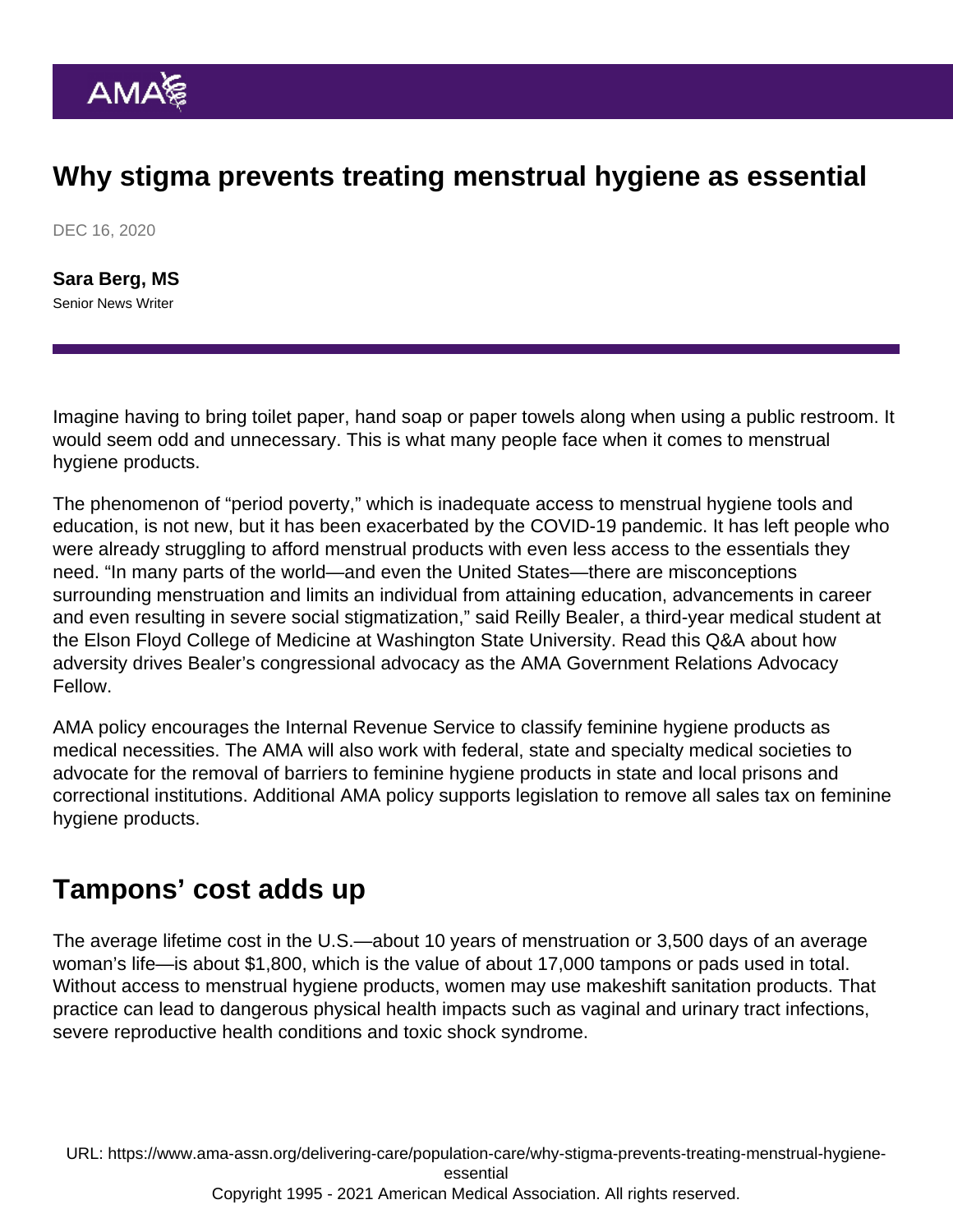# Why stigma prevents treating menstrual hygiene as essential

DEC 16, 2020

[Sara Berg, MS](https://www.ama-assn.org/news-leadership-viewpoints/authors-news-leadership-viewpoints/sara-berg-ms) Senior News Writer

Imagine having to bring toilet paper, hand soap or paper towels along when using a public restroom. It would seem odd and unnecessary. This is what many people face when it comes to menstrual hygiene products.

The phenomenon of "period poverty," which is inadequate access to menstrual hygiene tools and education, is not new, but it has been exacerbated by the COVID-19 pandemic. It has left people who were already struggling to afford menstrual products with even less access to the essentials they need. "In many parts of the world—and even the United States—there are misconceptions surrounding menstruation and limits an individual from attaining education, advancements in career and even resulting in severe social stigmatization," said Reilly Bealer, a third-year medical student at the Elson Floyd College of Medicine at Washington State University. Read this Q&A about how [adversity drives Bealer's congressional advocacy](https://www.ama-assn.org/about/leadership/qa-adversity-drives-medical-student-s-congressional-advocacy) as the AMA Government Relations Advocacy Fellow.

AMA policy encourages the Internal Revenue Service to classify [feminine hygiene products](https://policysearch.ama-assn.org/policyfinder/detail/Considering Feminine Hygiene Products as Medical Necessities H-525.974?uri=/AMADoc/HOD.xml-H-525.974.xml) as medical necessities. The AMA will also work with federal, state and specialty medical societies to advocate for the removal of barriers to feminine hygiene products in state and local prisons and correctional institutions. Additional AMA policy supports legislation to [remove all sales tax on feminine](https://policysearch.ama-assn.org/policyfinder/detail/Tax Exemptions for Feminine Hygiene Products H-270.953?uri=/AMADoc/HOD-270.953.xml) [hygiene products](https://policysearch.ama-assn.org/policyfinder/detail/Tax Exemptions for Feminine Hygiene Products H-270.953?uri=/AMADoc/HOD-270.953.xml).

#### Tampons' cost adds up

The average lifetime cost in the U.S.—about 10 years of menstruation or 3,500 days of an average woman's life—is about \$1,800, which is the value of about 17,000 tampons or pads used in total. Without access to menstrual hygiene products, women may use makeshift sanitation products. That practice can lead to dangerous physical health impacts such as vaginal and urinary tract infections, severe reproductive health conditions and toxic shock syndrome.

URL: [https://www.ama-assn.org/delivering-care/population-care/why-stigma-prevents-treating-menstrual-hygiene](https://www.ama-assn.org/delivering-care/population-care/why-stigma-prevents-treating-menstrual-hygiene-essential)[essential](https://www.ama-assn.org/delivering-care/population-care/why-stigma-prevents-treating-menstrual-hygiene-essential) Copyright 1995 - 2021 American Medical Association. All rights reserved.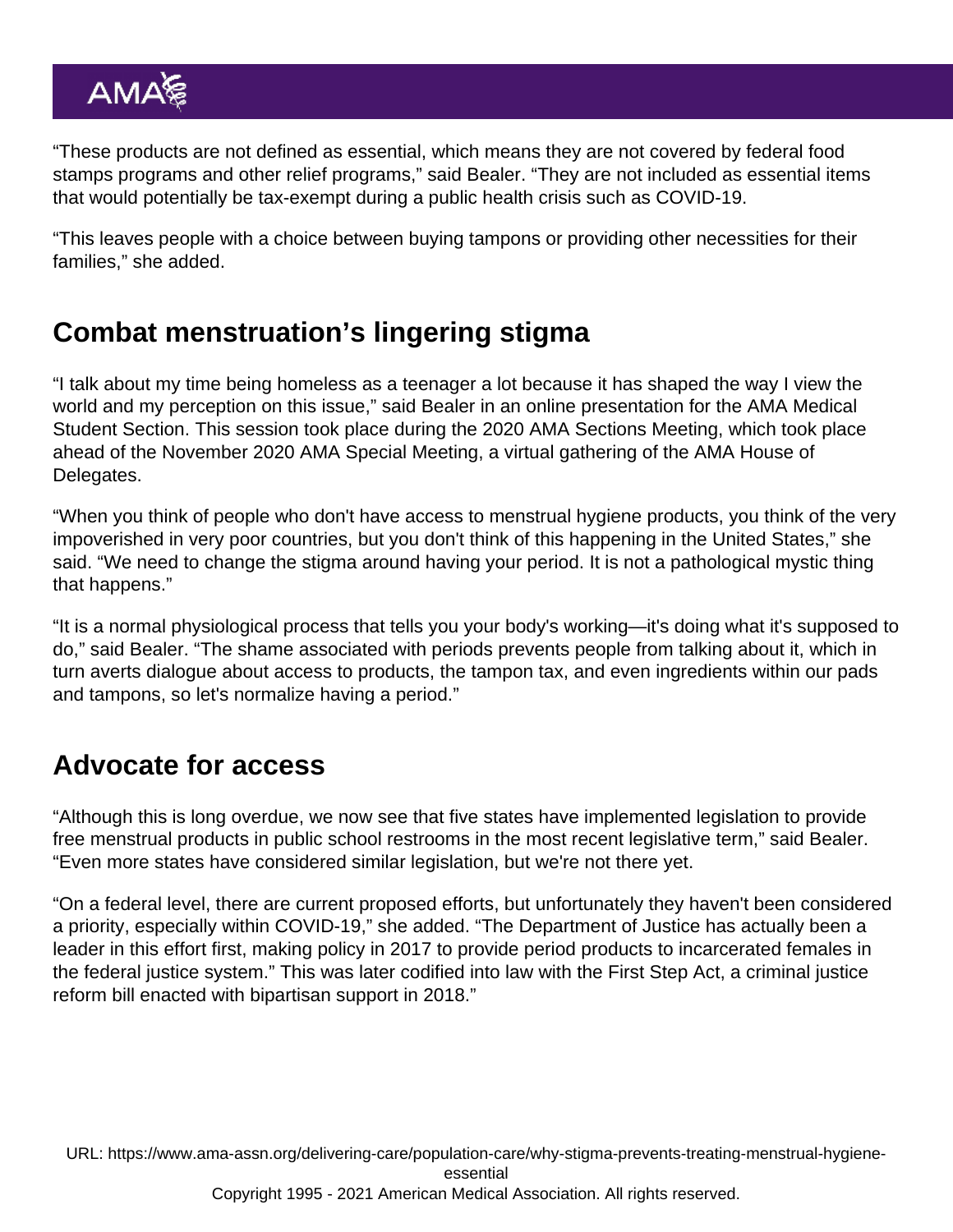"These products are not defined as essential, which means they are not covered by federal food stamps programs and other relief programs," said Bealer. "They are not included as essential items that would potentially be tax-exempt during a public health crisis such as COVID-19.

"This leaves people with a choice between buying tampons or providing other necessities for their families," she added.

# Combat menstruation's lingering stigma

"I talk about my time being homeless as a teenager a lot because it has shaped the way I view the world and my perception on this issue," said Bealer in an online presentation for the [AMA Medical](https://www.ama-assn.org/member-groups-sections/medical-students) [Student Section.](https://www.ama-assn.org/member-groups-sections/medical-students) This session took place during the 2020 AMA Sections Meeting, which took place ahead of the [November 2020 AMA Special Meeting](https://www.ama-assn.org/house-delegates/special-meeting/2020-ama-hod-special-meeting-sections-meetings), a virtual gathering of the AMA House of Delegates.

"When you think of people who don't have access to menstrual hygiene products, you think of the very impoverished in very poor countries, but you don't think of this happening in the United States," she said. "We need to change the stigma around having your period. It is not a pathological mystic thing that happens."

"It is a normal physiological process that tells you your body's working—it's doing what it's supposed to do," said Bealer. "The shame associated with periods prevents people from talking about it, which in turn averts dialogue about access to products, the tampon tax, and even ingredients within our pads and tampons, so let's normalize having a period."

# Advocate for access

"Although this is long overdue, we now see that five states have implemented legislation to provide free menstrual products in public school restrooms in the most recent legislative term," said Bealer. "Even more states have considered similar legislation, but we're not there yet.

"On a federal level, there are current proposed efforts, but unfortunately they haven't been considered a priority, especially within COVID-19," she added. "The Department of Justice has actually been a leader in this effort first, making policy in 2017 to provide period products to incarcerated females in the federal justice system." This was later codified into law with the First Step Act, a criminal justice reform bill enacted with bipartisan support in 2018."

URL: [https://www.ama-assn.org/delivering-care/population-care/why-stigma-prevents-treating-menstrual-hygiene](https://www.ama-assn.org/delivering-care/population-care/why-stigma-prevents-treating-menstrual-hygiene-essential)[essential](https://www.ama-assn.org/delivering-care/population-care/why-stigma-prevents-treating-menstrual-hygiene-essential) Copyright 1995 - 2021 American Medical Association. All rights reserved.